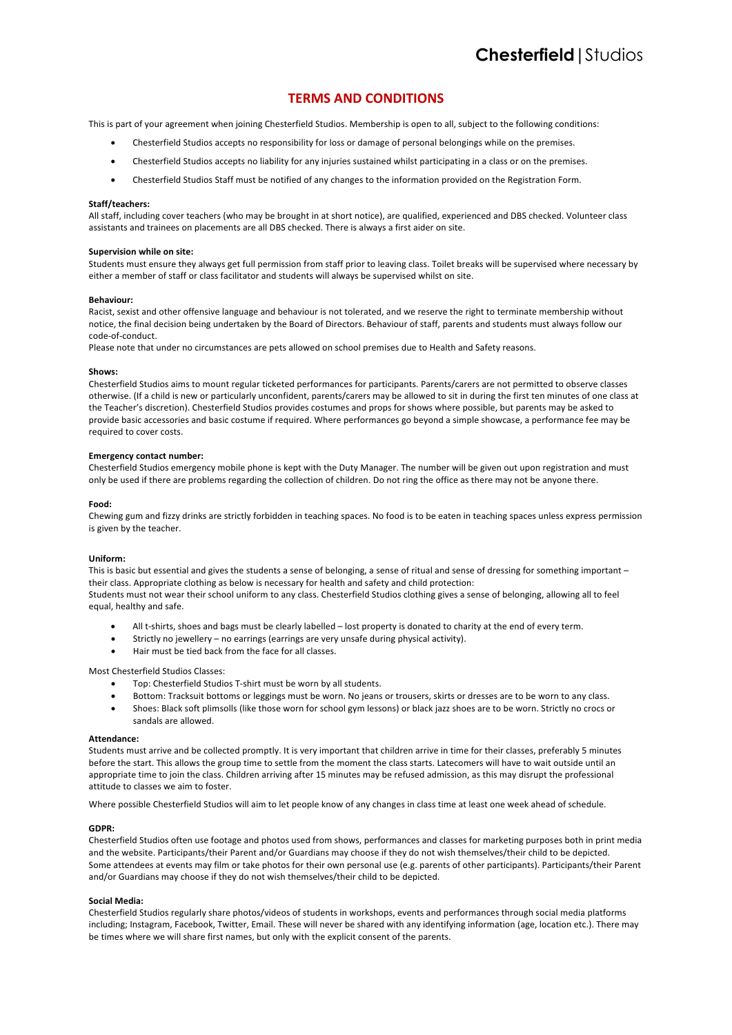# **TERMS AND CONDITIONS**

This is part of your agreement when joining Chesterfield Studios. Membership is open to all, subject to the following conditions:

- Chesterfield Studios accepts no responsibility for loss or damage of personal belongings while on the premises.
- Chesterfield Studios accepts no liability for any injuries sustained whilst participating in a class or on the premises.
- Chesterfield Studios Staff must be notified of any changes to the information provided on the Registration Form.

## **Staff/teachers:**

All staff, including cover teachers (who may be brought in at short notice), are qualified, experienced and DBS checked. Volunteer class assistants and trainees on placements are all DBS checked. There is always a first aider on site.

# **Supervision while on site:**

Students must ensure they always get full permission from staff prior to leaving class. Toilet breaks will be supervised where necessary by either a member of staff or class facilitator and students will always be supervised whilst on site.

## **Behaviour:**

Racist, sexist and other offensive language and behaviour is not tolerated, and we reserve the right to terminate membership without notice, the final decision being undertaken by the Board of Directors. Behaviour of staff, parents and students must always follow our code-of-conduct.

Please note that under no circumstances are pets allowed on school premises due to Health and Safety reasons.

#### **Shows:**

Chesterfield Studios aims to mount regular ticketed performances for participants. Parents/carers are not permitted to observe classes otherwise. (If a child is new or particularly unconfident, parents/carers may be allowed to sit in during the first ten minutes of one class at the Teacher's discretion). Chesterfield Studios provides costumes and props for shows where possible, but parents may be asked to provide basic accessories and basic costume if required. Where performances go beyond a simple showcase, a performance fee may be required to cover costs.

## **Emergency contact number:**

Chesterfield Studios emergency mobile phone is kept with the Duty Manager. The number will be given out upon registration and must only be used if there are problems regarding the collection of children. Do not ring the office as there may not be anyone there.

#### **Food:**

Chewing gum and fizzy drinks are strictly forbidden in teaching spaces. No food is to be eaten in teaching spaces unless express permission is given by the teacher.

## **Uniform:**

This is basic but essential and gives the students a sense of belonging, a sense of ritual and sense of dressing for something important their class. Appropriate clothing as below is necessary for health and safety and child protection: Students must not wear their school uniform to any class. Chesterfield Studios clothing gives a sense of belonging, allowing all to feel equal, healthy and safe.

- All t-shirts, shoes and bags must be clearly labelled lost property is donated to charity at the end of every term.
- Strictly no jewellery no earrings (earrings are very unsafe during physical activity).
- Hair must be tied back from the face for all classes.

#### Most Chesterfield Studios Classes:

- Top: Chesterfield Studios T-shirt must be worn by all students.
- Bottom: Tracksuit bottoms or leggings must be worn. No jeans or trousers, skirts or dresses are to be worn to any class.
- Shoes: Black soft plimsolls (like those worn for school gym lessons) or black jazz shoes are to be worn. Strictly no crocs or sandals are allowed.

#### **Attendance:**

Students must arrive and be collected promptly. It is very important that children arrive in time for their classes, preferably 5 minutes before the start. This allows the group time to settle from the moment the class starts. Latecomers will have to wait outside until an appropriate time to join the class. Children arriving after 15 minutes may be refused admission, as this may disrupt the professional attitude to classes we aim to foster.

Where possible Chesterfield Studios will aim to let people know of any changes in class time at least one week ahead of schedule.

# **GDPR:**

Chesterfield Studios often use footage and photos used from shows, performances and classes for marketing purposes both in print media and the website. Participants/their Parent and/or Guardians may choose if they do not wish themselves/their child to be depicted. Some attendees at events may film or take photos for their own personal use (e.g. parents of other participants). Participants/their Parent and/or Guardians may choose if they do not wish themselves/their child to be depicted.

#### **Social Media:**

Chesterfield Studios regularly share photos/videos of students in workshops, events and performances through social media platforms including; Instagram, Facebook, Twitter, Email. These will never be shared with any identifying information (age, location etc.). There may be times where we will share first names, but only with the explicit consent of the parents.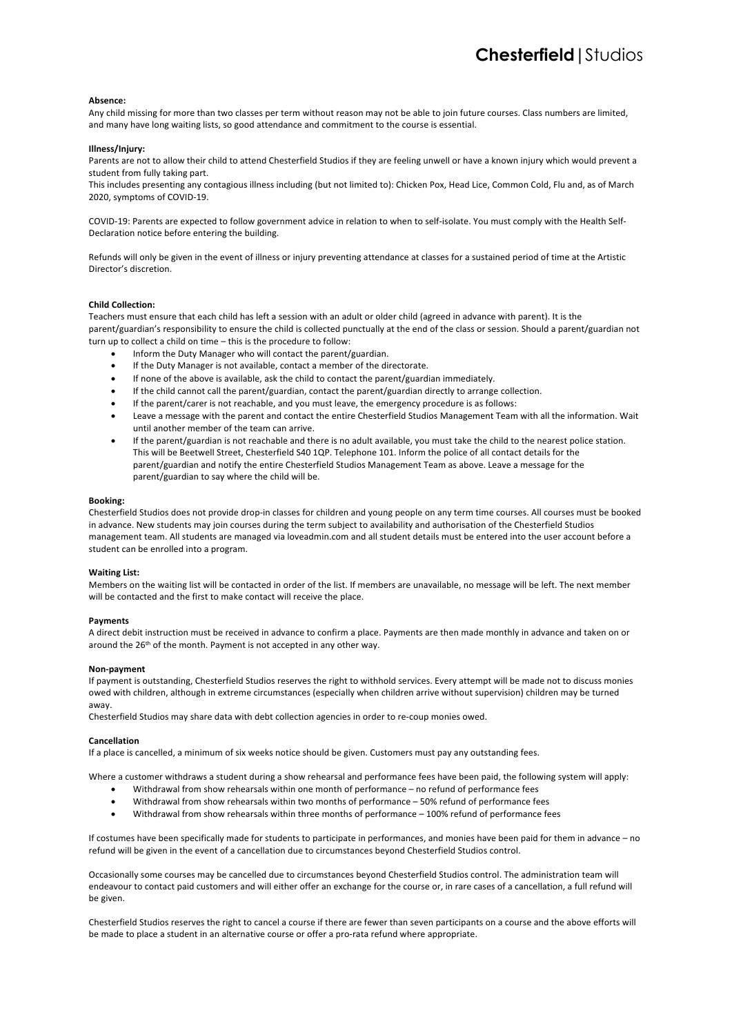## **Absence:**

Any child missing for more than two classes per term without reason may not be able to join future courses. Class numbers are limited, and many have long waiting lists, so good attendance and commitment to the course is essential.

## **Illness/Injury:**

Parents are not to allow their child to attend Chesterfield Studios if they are feeling unwell or have a known injury which would prevent a student from fully taking part.

This includes presenting any contagious illness including (but not limited to): Chicken Pox, Head Lice, Common Cold, Flu and, as of March 2020, symptoms of COVID-19.

COVID-19: Parents are expected to follow government advice in relation to when to self-isolate. You must comply with the Health Self-Declaration notice before entering the building.

Refunds will only be given in the event of illness or injury preventing attendance at classes for a sustained period of time at the Artistic Director's discretion.

#### **Child Collection:**

Teachers must ensure that each child has left a session with an adult or older child (agreed in advance with parent). It is the parent/guardian's responsibility to ensure the child is collected punctually at the end of the class or session. Should a parent/guardian not turn up to collect a child on time – this is the procedure to follow:

- Inform the Duty Manager who will contact the parent/guardian.
- If the Duty Manager is not available, contact a member of the directorate.
- If none of the above is available, ask the child to contact the parent/guardian immediately.
- If the child cannot call the parent/guardian, contact the parent/guardian directly to arrange collection.
- If the parent/carer is not reachable, and you must leave, the emergency procedure is as follows:
- Leave a message with the parent and contact the entire Chesterfield Studios Management Team with all the information. Wait until another member of the team can arrive.
- If the parent/guardian is not reachable and there is no adult available, you must take the child to the nearest police station. This will be Beetwell Street, Chesterfield S40 1QP. Telephone 101. Inform the police of all contact details for the parent/guardian and notify the entire Chesterfield Studios Management Team as above. Leave a message for the parent/guardian to say where the child will be.

#### **Booking:**

Chesterfield Studios does not provide drop-in classes for children and young people on any term time courses. All courses must be booked in advance. New students may join courses during the term subject to availability and authorisation of the Chesterfield Studios management team. All students are managed via loveadmin.com and all student details must be entered into the user account before a student can be enrolled into a program.

## **Waiting List:**

Members on the waiting list will be contacted in order of the list. If members are unavailable, no message will be left. The next member will be contacted and the first to make contact will receive the place.

#### **Payments**

A direct debit instruction must be received in advance to confirm a place. Payments are then made monthly in advance and taken on or around the 26<sup>th</sup> of the month. Payment is not accepted in any other way.

#### **Non-payment**

If payment is outstanding, Chesterfield Studios reserves the right to withhold services. Every attempt will be made not to discuss monies owed with children, although in extreme circumstances (especially when children arrive without supervision) children may be turned away.

Chesterfield Studios may share data with debt collection agencies in order to re-coup monies owed.

#### **Cancellation**

If a place is cancelled, a minimum of six weeks notice should be given. Customers must pay any outstanding fees.

Where a customer withdraws a student during a show rehearsal and performance fees have been paid, the following system will apply:

- Withdrawal from show rehearsals within one month of performance no refund of performance fees
- Withdrawal from show rehearsals within two months of performance 50% refund of performance fees
- Withdrawal from show rehearsals within three months of performance 100% refund of performance fees

If costumes have been specifically made for students to participate in performances, and monies have been paid for them in advance – no refund will be given in the event of a cancellation due to circumstances beyond Chesterfield Studios control.

Occasionally some courses may be cancelled due to circumstances beyond Chesterfield Studios control. The administration team will endeavour to contact paid customers and will either offer an exchange for the course or, in rare cases of a cancellation, a full refund will be given.

Chesterfield Studios reserves the right to cancel a course if there are fewer than seven participants on a course and the above efforts will be made to place a student in an alternative course or offer a pro-rata refund where appropriate.